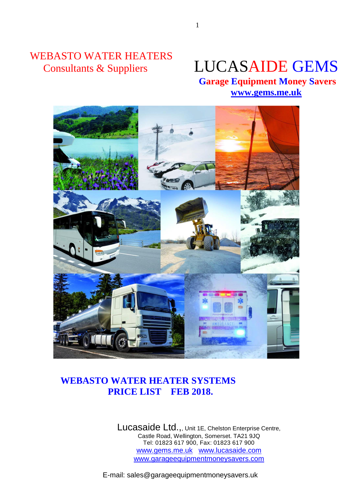# WEBASTO WATER HEATERS

# Consultants & Suppliers LUCASAIDE GEMS

 **Garage Equipment Money Savers [www.gems.me.uk](http://www.gems.me.uk/)**



# **WEBASTO WATER HEATER SYSTEMS PRICE LIST FEB 2018.**

Lucasaide Ltd.,, Unit 1E, Chelston Enterprise Centre, Castle Road, Wellington, Somerset. TA21 9JQ Tel: 01823 617 900, Fax: 01823 617 900 www.gems.me.uk www.lucasaide.com www.garageequipmentmoneysavers.com

E-mail: sales@garageequipmentmoneysavers.uk

1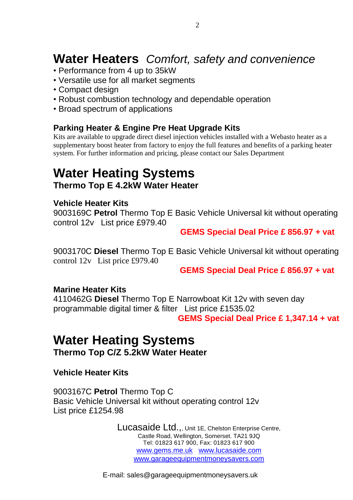# **Water Heaters** *Comfort, safety and convenience*

- Performance from 4 up to 35kW
- Versatile use for all market segments
- Compact design
- Robust combustion technology and dependable operation
- Broad spectrum of applications

### **Parking Heater & Engine Pre Heat Upgrade Kits**

Kits are available to upgrade direct diesel injection vehicles installed with a Webasto heater as a supplementary boost heater from factory to enjoy the full features and benefits of a parking heater system. For further information and pricing, please contact our Sales Department

# **Water Heating Systems Thermo Top E 4.2kW Water Heater**

### **Vehicle Heater Kits**

9003169C **Petrol** Thermo Top E Basic Vehicle Universal kit without operating control 12v List price £979.40

# **GEMS Special Deal Price £ 856.97 + vat**

9003170C **Diesel** Thermo Top E Basic Vehicle Universal kit without operating control 12v List price £979.40

**GEMS Special Deal Price £ 856.97 + vat**

### **Marine Heater Kits**

4110462G **Diesel** Thermo Top E Narrowboat Kit 12v with seven day programmable digital timer & filter List price £1535.02 **GEMS Special Deal Price £ 1,347.14 + vat**

# **Water Heating Systems Thermo Top C/Z 5.2kW Water Heater**

**Vehicle Heater Kits**

9003167C **Petrol** Thermo Top C Basic Vehicle Universal kit without operating control 12v List price £1254.98

> Lucasaide Ltd.,, Unit 1E, Chelston Enterprise Centre, Castle Road, Wellington, Somerset. TA21 9JQ Tel: 01823 617 900, Fax: 01823 617 900 www.gems.me.uk www.lucasaide.com www.garageequipmentmoneysavers.com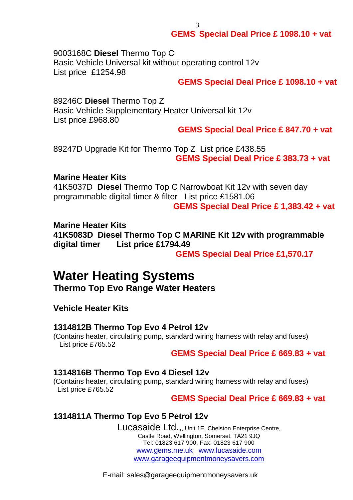**GEMS Special Deal Price £ 1098.10 + vat**

9003168C **Diesel** Thermo Top C Basic Vehicle Universal kit without operating control 12v List price £1254.98

#### **GEMS Special Deal Price £ 1098.10 + vat**

89246C **Diesel** Thermo Top Z Basic Vehicle Supplementary Heater Universal kit 12v List price £968.80

**GEMS Special Deal Price £ 847.70 + vat**

89247D Upgrade Kit for Thermo Top Z List price £438.55 **GEMS Special Deal Price £ 383.73 + vat**

3

#### **Marine Heater Kits**

41K5037D **Diesel** Thermo Top C Narrowboat Kit 12v with seven day programmable digital timer & filter List price £1581.06

**GEMS Special Deal Price £ 1,383.42 + vat**

#### **Marine Heater Kits**

**41K5083D Diesel Thermo Top C MARINE Kit 12v with programmable digital timer List price £1794.49**

 **GEMS Special Deal Price £1,570.17**

# **Water Heating Systems**

**Thermo Top Evo Range Water Heaters**

**Vehicle Heater Kits**

#### **1314812B Thermo Top Evo 4 Petrol 12v**

(Contains heater, circulating pump, standard wiring harness with relay and fuses) List price £765.52

#### **GEMS Special Deal Price £ 669.83 + vat**

#### **1314816B Thermo Top Evo 4 Diesel 12v**

(Contains heater, circulating pump, standard wiring harness with relay and fuses) List price £765.52

 **GEMS Special Deal Price £ 669.83 + vat**

#### **1314811A Thermo Top Evo 5 Petrol 12v**

Lucasaide Ltd.,, Unit 1E, Chelston Enterprise Centre, Castle Road, Wellington, Somerset. TA21 9JQ Tel: 01823 617 900, Fax: 01823 617 900 www.gems.me.uk www.lucasaide.com www.garageequipmentmoneysavers.com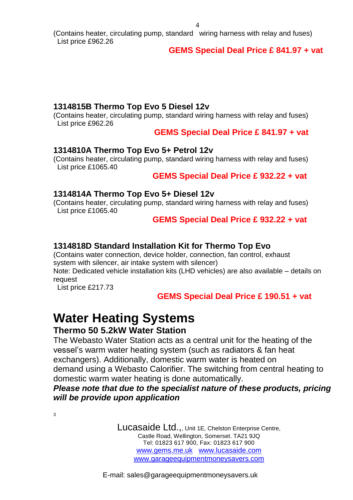(Contains heater, circulating pump, standard wiring harness with relay and fuses) List price £962.26

# **GEMS Special Deal Price £ 841.97 + vat**

# **1314815B Thermo Top Evo 5 Diesel 12v**

(Contains heater, circulating pump, standard wiring harness with relay and fuses) List price £962.26

**GEMS Special Deal Price £ 841.97 + vat**

# **1314810A Thermo Top Evo 5+ Petrol 12v**

(Contains heater, circulating pump, standard wiring harness with relay and fuses) List price £1065.40

 **GEMS Special Deal Price £ 932.22 + vat**

# **1314814A Thermo Top Evo 5+ Diesel 12v**

(Contains heater, circulating pump, standard wiring harness with relay and fuses) List price £1065.40

# **GEMS Special Deal Price £ 932.22 + vat**

# **1314818D Standard Installation Kit for Thermo Top Evo**

(Contains water connection, device holder, connection, fan control, exhaust system with silencer, air intake system with silencer)

Note: Dedicated vehicle installation kits (LHD vehicles) are also available – details on request

List price £217.73

# **GEMS Special Deal Price £ 190.51 + vat**

# **Water Heating Systems**

# **Thermo 50 5.2kW Water Station**

The Webasto Water Station acts as a central unit for the heating of the vessel's warm water heating system (such as radiators & fan heat exchangers). Additionally, domestic warm water is heated on demand using a Webasto Calorifier. The switching from central heating to domestic warm water heating is done automatically.

# *Please note that due to the specialist nature of these products, pricing will be provide upon application*

3

Lucasaide Ltd.,, Unit 1E, Chelston Enterprise Centre, Castle Road, Wellington, Somerset. TA21 9JQ Tel: 01823 617 900, Fax: 01823 617 900 www.gems.me.uk www.lucasaide.com www.garageequipmentmoneysavers.com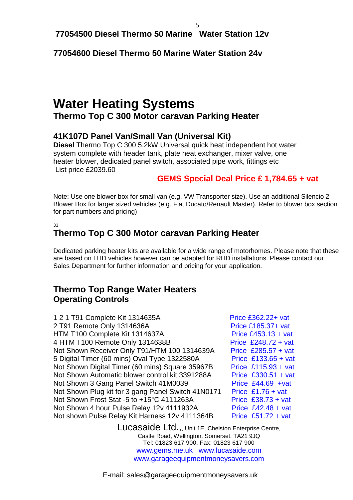**77054500 Diesel Thermo 50 Marine Water Station 12v**

**77054600 Diesel Thermo 50 Marine Water Station 24v**

# **Water Heating Systems Thermo Top C 300 Motor caravan Parking Heater**

# **41K107D Panel Van/Small Van (Universal Kit)**

**Diesel** Thermo Top C 300 5.2kW Universal quick heat independent hot water system complete with header tank, plate heat exchanger, mixer valve, one heater blower, dedicated panel switch, associated pipe work, fittings etc List price £2039.60

# **GEMS Special Deal Price £ 1,784.65 + vat**

Note: Use one blower box for small van (e.g. VW Transporter size). Use an additional Silencio 2 Blower Box for larger sized vehicles (e.g. Fiat Ducato/Renault Master). Refer to blower box section for part numbers and pricing)

33

# **Thermo Top C 300 Motor caravan Parking Heater**

Dedicated parking heater kits are available for a wide range of motorhomes. Please note that these are based on LHD vehicles however can be adapted for RHD installations. Please contact our Sales Department for further information and pricing for your application.

# **Thermo Top Range Water Heaters Operating Controls**

1 2 1 T91 Complete Kit 1314635A Price £362.22+ vat 2 T91 Remote Only 1314636A Price £185.37+ vat HTM T100 Complete Kit 1314637A Price £453.13 + vat 4 HTM T100 Remote Only 1314638B Price £248.72 + vat Not Shown Receiver Only T91/HTM 100 1314639A Price £285.57 + vat 5 Digital Timer (60 mins) Oval Type 1322580A Price £133.65 + vat Not Shown Digital Timer (60 mins) Square 35967B Price £115.93 + vat Not Shown Automatic blower control kit 3391288A Price £330.51 + vat Not Shown 3 Gang Panel Switch 41M0039 Price £44.69 +vat Not Shown Plug kit for 3 gang Panel Switch 41N0171 Price £1.76 + vat Not Shown Frost Stat -5 to  $+15^{\circ}$ C 4111263A Price £38.73 + vat Not Shown 4 hour Pulse Relay 12v 4111932A Price £42.48 + vat Not shown Pulse Relay Kit Harness 12v 4111364B Price £51.72 + vat

Lucasaide Ltd.,, Unit 1E, Chelston Enterprise Centre, Castle Road, Wellington, Somerset. TA21 9JQ Tel: 01823 617 900, Fax: 01823 617 900 www.gems.me.uk www.lucasaide.com www.garageequipmentmoneysavers.com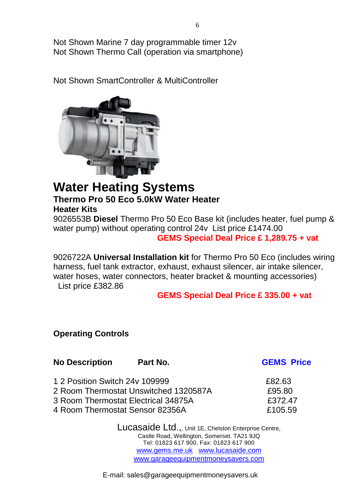Not Shown Marine 7 day programmable timer 12v Not Shown Thermo Call (operation via smartphone)

Not Shown SmartController & MultiController



# **Water Heating Systems Thermo Pro 50 Eco 5.0kW Water Heater**

**Heater Kits**

9026553B **Diesel** Thermo Pro 50 Eco Base kit (includes heater, fuel pump & water pump) without operating control 24v List price £1474.00  **GEMS Special Deal Price £ 1,289.75 + vat**

9026722A **Universal Installation kit** for Thermo Pro 50 Eco (includes wiring harness, fuel tank extractor, exhaust, exhaust silencer, air intake silencer, water hoses, water connectors, heater bracket & mounting accessories) List price £382.86

# **GEMS Special Deal Price £ 335.00 + vat**

# **Operating Controls**

| <b>No Description</b>           | Part No.                              | <b>GEMS Price</b> |
|---------------------------------|---------------------------------------|-------------------|
| 1 2 Position Switch 24y 109999  |                                       | £82.63            |
|                                 | 2 Room Thermostat Unswitched 1320587A | £95.80            |
|                                 | 3 Room Thermostat Electrical 34875A   | £372.47           |
| 4 Room Thermostat Sensor 82356A |                                       | £105.59           |
|                                 |                                       |                   |

Lucasaide Ltd.,, Unit 1E, Chelston Enterprise Centre, Castle Road, Wellington, Somerset. TA21 9JQ Tel: 01823 617 900, Fax: 01823 617 900 www.gems.me.uk www.lucasaide.com www.garageequipmentmoneysavers.com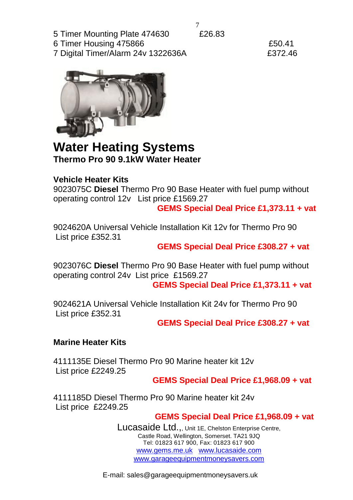5 Timer Mounting Plate 474630 £26.83

6 Timer Housing 475866 £50.41

7 Digital Timer/Alarm 24v 1322636A £372.46



# **Water Heating Systems Thermo Pro 90 9.1kW Water Heater**

# **Vehicle Heater Kits**

9023075C **Diesel** Thermo Pro 90 Base Heater with fuel pump without operating control 12v List price £1569.27

 **GEMS Special Deal Price £1,373.11 + vat**

9024620A Universal Vehicle Installation Kit 12v for Thermo Pro 90 List price £352.31

**GEMS Special Deal Price £308.27 + vat**

9023076C **Diesel** Thermo Pro 90 Base Heater with fuel pump without operating control 24v List price £1569.27

**GEMS Special Deal Price £1,373.11 + vat**

9024621A Universal Vehicle Installation Kit 24v for Thermo Pro 90 List price £352.31

**GEMS Special Deal Price £308.27 + vat**

# **Marine Heater Kits**

4111135E Diesel Thermo Pro 90 Marine heater kit 12v List price £2249.25

**GEMS Special Deal Price £1,968.09 + vat**

4111185D Diesel Thermo Pro 90 Marine heater kit 24v List price £2249.25

# **GEMS Special Deal Price £1,968.09 + vat**

Lucasaide Ltd.,, Unit 1E, Chelston Enterprise Centre, Castle Road, Wellington, Somerset. TA21 9JQ Tel: 01823 617 900, Fax: 01823 617 900 www.gems.me.uk www.lucasaide.com www.garageequipmentmoneysavers.com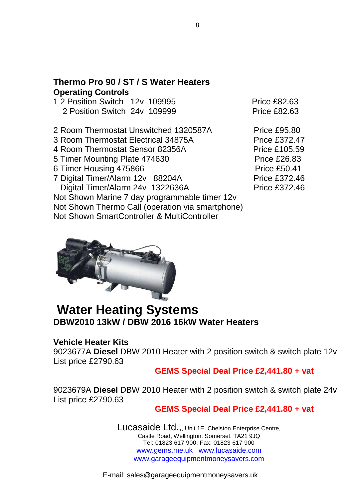# **Thermo Pro 90 / ST / S Water Heaters Operating Controls**

| 1 2 Position Switch 12y 109995 |  | <b>Price £82.63</b> |
|--------------------------------|--|---------------------|
| 2 Position Switch 24y 109999   |  | <b>Price £82.63</b> |
|                                |  |                     |

- 2 Room Thermostat Unswitched 1320587A Price £95.80
- 3 Room Thermostat Electrical 34875A Price £372.47
- 4 Room Thermostat Sensor 82356A Price £105.59
- 5 Timer Mounting Plate 474630 Price £26.83
- 6 Timer Housing 475866 Price £50.41
- 7 Digital Timer/Alarm 12v 88204A Price £372.46 Digital Timer/Alarm 24v 1322636A Price £372.46

Not Shown Marine 7 day programmable timer 12v Not Shown Thermo Call (operation via smartphone) Not Shown SmartController & MultiController



# **Water Heating Systems DBW2010 13kW / DBW 2016 16kW Water Heaters**

# **Vehicle Heater Kits**

9023677A **Diesel** DBW 2010 Heater with 2 position switch & switch plate 12v List price £2790.63

### **GEMS Special Deal Price £2,441.80 + vat**

9023679A **Diesel** DBW 2010 Heater with 2 position switch & switch plate 24v List price £2790.63

# **GEMS Special Deal Price £2,441.80 + vat**

Lucasaide Ltd.,, Unit 1E, Chelston Enterprise Centre, Castle Road, Wellington, Somerset. TA21 9JQ Tel: 01823 617 900, Fax: 01823 617 900 www.gems.me.uk www.lucasaide.com www.garageequipmentmoneysavers.com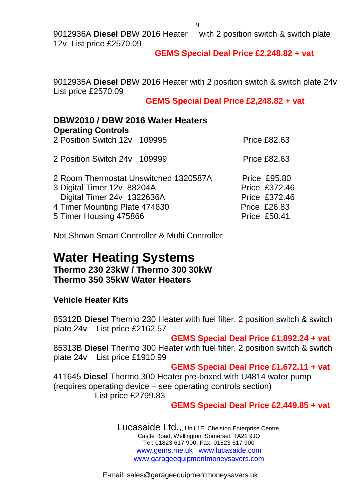9012936A **Diesel** DBW 2016 Heater with 2 position switch & switch plate 12v List price £2570.09

### **GEMS Special Deal Price £2,248.82 + vat**

9012935A **Diesel** DBW 2016 Heater with 2 position switch & switch plate 24v List price £2570.09

#### **GEMS Special Deal Price £2,248.82 + vat**

### **DBW2010 / DBW 2016 Water Heaters Operating Controls** 2 Position Switch 12v 109995 Price £82.63

| 2 Position Switch 24y 109999          | <b>Price £82.63</b>  |
|---------------------------------------|----------------------|
| 2 Room Thermostat Unswitched 1320587A | <b>Price £95.80</b>  |
| 3 Digital Timer 12v 88204A            | <b>Price £372.46</b> |
| Digital Timer 24v 1322636A            | <b>Price £372.46</b> |
| 4 Timer Mounting Plate 474630         | <b>Price £26.83</b>  |
| 5 Timer Housing 475866                | <b>Price £50.41</b>  |

Not Shown Smart Controller & Multi Controller

# **Water Heating Systems Thermo 230 23kW / Thermo 300 30kW Thermo 350 35kW Water Heaters**

### **Vehicle Heater Kits**

85312B **Diesel** Thermo 230 Heater with fuel filter, 2 position switch & switch plate 24v List price £2162.57

### **GEMS Special Deal Price £1,892.24 + vat**

85313B **Diesel** Thermo 300 Heater with fuel filter, 2 position switch & switch plate 24v List price £1910.99

#### **GEMS Special Deal Price £1,672.11 + vat**

411645 **Diesel** Thermo 300 Heater pre-boxed with U4814 water pump (requires operating device – see operating controls section) List price £2799.83

#### **GEMS Special Deal Price £2,449.85 + vat**

Lucasaide Ltd.,, Unit 1E, Chelston Enterprise Centre, Castle Road, Wellington, Somerset. TA21 9JQ Tel: 01823 617 900, Fax: 01823 617 900 www.gems.me.uk www.lucasaide.com www.garageequipmentmoneysavers.com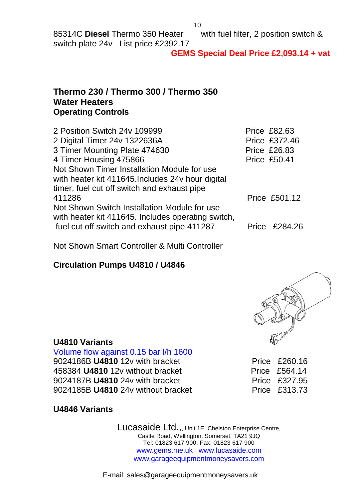### **GEMS Special Deal Price £2,093.14 + vat**

# **Thermo 230 / Thermo 300 / Thermo 350 Water Heaters Operating Controls**

| 2 Position Switch 24v 109999                       | <b>Price £82.63</b> |
|----------------------------------------------------|---------------------|
| 2 Digital Timer 24v 1322636A                       | Price £372.46       |
| 3 Timer Mounting Plate 474630                      | <b>Price £26.83</b> |
| 4 Timer Housing 475866                             | <b>Price £50.41</b> |
| Not Shown Timer Installation Module for use        |                     |
| with heater kit 411645. Includes 24v hour digital  |                     |
| timer, fuel cut off switch and exhaust pipe        |                     |
| 411286                                             | Price £501.12       |
| Not Shown Switch Installation Module for use       |                     |
| with heater kit 411645. Includes operating switch, |                     |
| fuel cut off switch and exhaust pipe 411287        | Price £284.26       |
|                                                    |                     |

Not Shown Smart Controller & Multi Controller

# **Circulation Pumps U4810 / U4846**



# **U4810 Variants**

Volume flow against 0.15 bar l/h 1600 9024186B U4810 12v with bracket Price £260.16 458384 **U4810** 12v without bracket Price £564.14 9024187B **U4810** 24v with bracket Price £327.95 9024185B **U4810** 24v without bracket Price £313.73

# **U4846 Variants**

Lucasaide Ltd.,, Unit 1E, Chelston Enterprise Centre, Castle Road, Wellington, Somerset. TA21 9JQ Tel: 01823 617 900, Fax: 01823 617 900 www.gems.me.uk www.lucasaide.com www.garageequipmentmoneysavers.com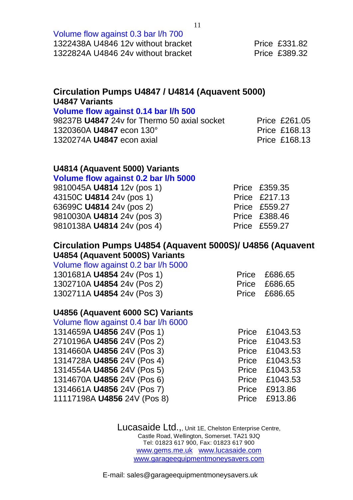| Volume flow against 0.3 bar I/h 700 |                      |
|-------------------------------------|----------------------|
| 1322438A U4846 12v without bracket  | <b>Price £331.82</b> |
| 1322824A U4846 24y without bracket  | <b>Price £389.32</b> |

# **Circulation Pumps U4847 / U4814 (Aquavent 5000) U4847 Variants**

# **Volume flow against 0.14 bar l/h 500**

| 98237B U4847 24v for Thermo 50 axial socket | Price £261.05        |
|---------------------------------------------|----------------------|
| 1320360A <b>U4847</b> econ 130°             | <b>Price £168.13</b> |
| 1320274A U4847 econ axial                   | <b>Price £168.13</b> |

# **U4814 (Aquavent 5000) Variants**

#### **Volume flow against 0.2 bar l/h 5000**

| Price £359.35        |
|----------------------|
| Price £217.13        |
| Price £559.27        |
| <b>Price £388.46</b> |
| Price £559.27        |
|                      |

# **Circulation Pumps U4854 (Aquavent 5000S)/ U4856 (Aquavent U4854 (Aquavent 5000S) Variants**

Volume flow against 0.2 bar l/h 5000

| 1301681A U4854 24v (Pos 1) | Price £686.65 |
|----------------------------|---------------|
| 1302710A U4854 24v (Pos 2) | Price £686.65 |
| 1302711A U4854 24v (Pos 3) | Price £686.65 |

# **U4856 (Aquavent 6000 SC) Variants**

| Volume flow against 0.4 bar I/h 6000 |                |
|--------------------------------------|----------------|
| 1314659A U4856 24V (Pos 1)           | Price £1043.53 |
| 2710196A U4856 24V (Pos 2)           | Price £1043.53 |
| 1314660A U4856 24V (Pos 3)           | Price £1043.53 |
| 1314728A U4856 24V (Pos 4)           | Price £1043.53 |
| 1314554A U4856 24V (Pos 5)           | Price £1043.53 |
| 1314670A U4856 24V (Pos 6)           | Price £1043.53 |
| 1314661A U4856 24V (Pos 7)           | Price £913.86  |
| 11117198A U4856 24V (Pos 8)          | Price £913.86  |

Lucasaide Ltd.,, Unit 1E, Chelston Enterprise Centre, Castle Road, Wellington, Somerset. TA21 9JQ Tel: 01823 617 900, Fax: 01823 617 900 www.gems.me.uk www.lucasaide.com www.garageequipmentmoneysavers.com

E-mail: sales@garageequipmentmoneysavers.uk

11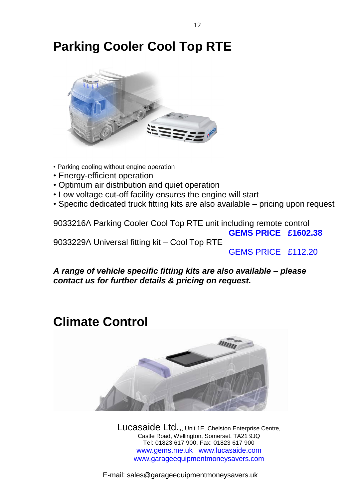# **Parking Cooler Cool Top RTE**



- Parking cooling without engine operation
- Energy-efficient operation
- Optimum air distribution and quiet operation
- Low voltage cut-off facility ensures the engine will start
- Specific dedicated truck fitting kits are also available pricing upon request

9033216A Parking Cooler Cool Top RTE unit including remote control  **GEMS PRICE £1602.38** 9033229A Universal fitting kit – Cool Top RTE

GEMS PRICE £112.20

*A range of vehicle specific fitting kits are also available – please contact us for further details & pricing on request.*

# **Climate Control**



Lucasaide Ltd.,, Unit 1E, Chelston Enterprise Centre, Castle Road, Wellington, Somerset. TA21 9JQ Tel: 01823 617 900, Fax: 01823 617 900 www.gems.me.uk www.lucasaide.com www.garageequipmentmoneysavers.com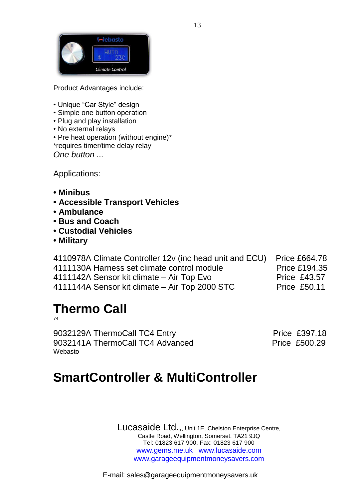

Product Advantages include:

- Unique "Car Style" design
- Simple one button operation
- Plug and play installation
- No external relays

• Pre heat operation (without engine)\* \*requires timer/time delay relay *One button ...*

Applications:

- **Minibus**
- **Accessible Transport Vehicles**
- **Ambulance**
- **Bus and Coach**
- **Custodial Vehicles**
- **Military**

| 4110978A Climate Controller 12v (inc head unit and ECU) | <b>Price £664.78</b> |
|---------------------------------------------------------|----------------------|
| 4111130A Harness set climate control module             | <b>Price £194.35</b> |
| 4111142A Sensor kit climate – Air Top Evo               | <b>Price £43.57</b>  |
| 4111144A Sensor kit climate – Air Top 2000 STC          | <b>Price £50.11</b>  |

# **Thermo Call**

74

9032129A ThermoCall TC4 Entry Price £397.18 9032141A ThermoCall TC4 Advanced Price £500.29 Webasto

# **SmartController & MultiController**

Lucasaide Ltd.,, Unit 1E, Chelston Enterprise Centre, Castle Road, Wellington, Somerset. TA21 9JQ Tel: 01823 617 900, Fax: 01823 617 900 www.gems.me.uk www.lucasaide.com www.garageequipmentmoneysavers.com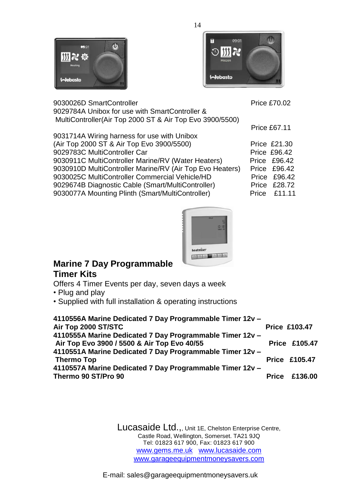



9030026D SmartController **Price £70.02** 9029784A Unibox for use with SmartController & MultiController(Air Top 2000 ST & Air Top Evo 3900/5500)

Price £67.11

| 9031714A Wiring harness for use with Unibox              |                     |
|----------------------------------------------------------|---------------------|
| (Air Top 2000 ST & Air Top Evo 3900/5500)                | <b>Price £21.30</b> |
| 9029783C MultiController Car                             | <b>Price £96.42</b> |
| 9030911C MultiController Marine/RV (Water Heaters)       | Price £96.42        |
| 9030910D MultiController Marine/RV (Air Top Evo Heaters) | <b>Price £96.42</b> |
| 9030025C MultiController Commercial Vehicle/HD           | Price £96.42        |
| 9029674B Diagnostic Cable (Smart/MultiController)        | <b>Price £28.72</b> |
| 9030077A Mounting Plinth (Smart/MultiController)         | Price £11.11        |
|                                                          |                     |



# **Marine 7 Day Programmable Timer Kits**

Offers 4 Timer Events per day, seven days a week

- Plug and play
- Supplied with full installation & operating instructions

| 4110556A Marine Dedicated 7 Day Programmable Timer 12v - |                      |
|----------------------------------------------------------|----------------------|
| Air Top 2000 ST/STC                                      | <b>Price £103.47</b> |
| 4110555A Marine Dedicated 7 Day Programmable Timer 12v - |                      |
| Air Top Evo 3900 / 5500 & Air Top Evo 40/55              | <b>Price £105.47</b> |
| 4110551A Marine Dedicated 7 Day Programmable Timer 12v - |                      |
| <b>Thermo Top</b>                                        | <b>Price £105.47</b> |
| 4110557A Marine Dedicated 7 Day Programmable Timer 12v - |                      |
| Thermo 90 ST/Pro 90                                      | <b>Price £136.00</b> |
|                                                          |                      |

Lucasaide Ltd.,, Unit 1E, Chelston Enterprise Centre, Castle Road, Wellington, Somerset. TA21 9JQ Tel: 01823 617 900, Fax: 01823 617 900 www.gems.me.uk www.lucasaide.com www.garageequipmentmoneysavers.com

E-mail: sales@garageequipmentmoneysavers.uk

14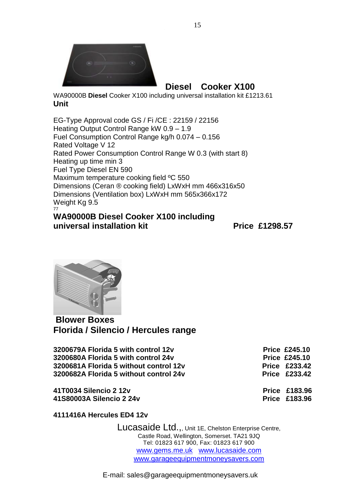

**Diesel Cooker X100**

WA90000B **Diesel** Cooker X100 including universal installation kit £1213.61 **Unit**

EG-Type Approval code GS / Fi /CE : 22159 / 22156 Heating Output Control Range kW 0.9 – 1.9 Fuel Consumption Control Range kg/h 0.074 – 0.156 Rated Voltage V 12 Rated Power Consumption Control Range W 0.3 (with start 8) Heating up time min 3 Fuel Type Diesel EN 590 Maximum temperature cooking field ºC 550 Dimensions (Ceran ® cooking field) LxWxH mm 466x316x50 Dimensions (Ventilation box) LxWxH mm 565x366x172 Weight Kg 9.5 77

### **WA90000B Diesel Cooker X100 including universal installation kit** Price £1298.57



**Blower Boxes Florida / Silencio / Hercules range**

**3200679A Florida 5 with control 12v Control 12v Price £245.10 3200680A Florida 5 with control 24v CONTER 6000 Price £245.10 3200681A Florida 5 without control 12v Control 12v Price £233.42 3200682A Florida 5 without control 24v Price £233.42**

**41T0034 Silencio 2 12v Price £183.96 41S80003A Silencio 2 24v Price £183.96**

**4111416A Hercules ED4 12v** 

Lucasaide Ltd.,, Unit 1E, Chelston Enterprise Centre, Castle Road, Wellington, Somerset. TA21 9JQ Tel: 01823 617 900, Fax: 01823 617 900 www.gems.me.uk www.lucasaide.com www.garageequipmentmoneysavers.com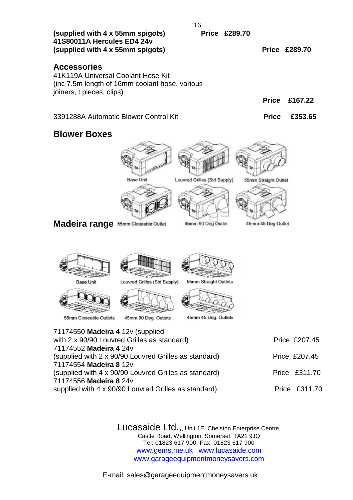| 16                                                                                                                                      |                                                      |                                                    |                                            |               |
|-----------------------------------------------------------------------------------------------------------------------------------------|------------------------------------------------------|----------------------------------------------------|--------------------------------------------|---------------|
| (supplied with 4 x 55mm spigots)<br>41S80011A Hercules ED4 24v<br>(supplied with 4 x 55mm spigots)                                      |                                                      | <b>Price £289.70</b>                               | <b>Price £289.70</b>                       |               |
| <b>Accessories</b><br>41K119A Universal Coolant Hose Kit<br>(inc 7.5m length of 16mm coolant hose, various<br>joiners, t pieces, clips) |                                                      |                                                    |                                            |               |
|                                                                                                                                         |                                                      |                                                    | <b>Price</b>                               | £167.22       |
| 3391288A Automatic Blower Control Kit                                                                                                   |                                                      |                                                    | <b>Price</b>                               | £353.65       |
| <b>Blower Boxes</b>                                                                                                                     |                                                      |                                                    |                                            |               |
| Madeira range 55mm Closeable Outlet                                                                                                     | <b>Base Unit</b>                                     | Louvred Grilles (Std Supply)<br>45mm 90 Deg Outlet | 55mm Straight Outlet<br>45mm 45 Deg Outlet |               |
| Base Unit<br>55mm Closeable Outlets                                                                                                     | Louvred Grilles (Std Supply)<br>45mm 90 Deg. Outlets | 55mm Straight Outlets<br>45mm 45 Deg. Outlets      |                                            |               |
| 71174550 Madeira 4 12v (supplied<br>with 2 x 90/90 Louvred Grilles as standard)                                                         |                                                      |                                                    |                                            | Price £207.45 |
| 71174552 Madeira 4 24v                                                                                                                  |                                                      |                                                    |                                            |               |
| (supplied with 2 x 90/90 Louvred Grilles as standard)<br>71174554 Madeira 8 12v                                                         |                                                      |                                                    |                                            | Price £207.45 |
| (supplied with 4 x 90/90 Louvred Grilles as standard)                                                                                   |                                                      |                                                    |                                            | Price £311.70 |
| 71174556 Madeira 8 24v<br>supplied with 4 x 90/90 Louvred Grilles as standard)                                                          |                                                      |                                                    |                                            | Price £311.70 |

Lucasaide Ltd.,, Unit 1E, Chelston Enterprise Centre, Castle Road, Wellington, Somerset. TA21 9JQ Tel: 01823 617 900, Fax: 01823 617 900 www.gems.me.uk www.lucasaide.com www.garageequipmentmoneysavers.com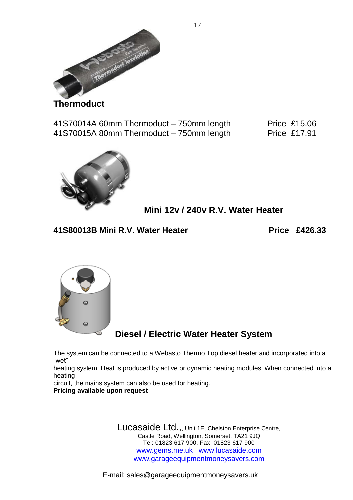

**Thermoduct**

41S70014A 60mm Thermoduct – 750mm length Price £15.06 41S70015A 80mm Thermoduct – 750mm length Price £17.91



**Mini 12v / 240v R.V. Water Heater**

41S80013B Mini R.V. Water Heater **Price £426.33** 



**Diesel / Electric Water Heater System**

The system can be connected to a Webasto Thermo Top diesel heater and incorporated into a "wet"

heating system. Heat is produced by active or dynamic heating modules. When connected into a heating

circuit, the mains system can also be used for heating. **Pricing available upon request**

> Lucasaide Ltd.,, Unit 1E, Chelston Enterprise Centre, Castle Road, Wellington, Somerset. TA21 9JQ Tel: 01823 617 900, Fax: 01823 617 900 www.gems.me.uk www.lucasaide.com www.garageequipmentmoneysavers.com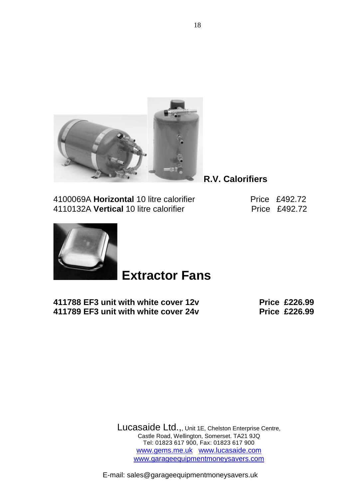

**R.V. Calorifiers**

4100069A **Horizontal** 10 litre calorifier Price £492.72 4110132A Vertical 10 litre calorifier **Price £492.72** 



# **Extractor Fans**

**411788 EF3 unit with white cover 12v Price £226.99 411789 EF3 unit with white cover 24v Price £226.99** 

Lucasaide Ltd.,, Unit 1E, Chelston Enterprise Centre, Castle Road, Wellington, Somerset. TA21 9JQ Tel: 01823 617 900, Fax: 01823 617 900 www.gems.me.uk www.lucasaide.com www.garageequipmentmoneysavers.com